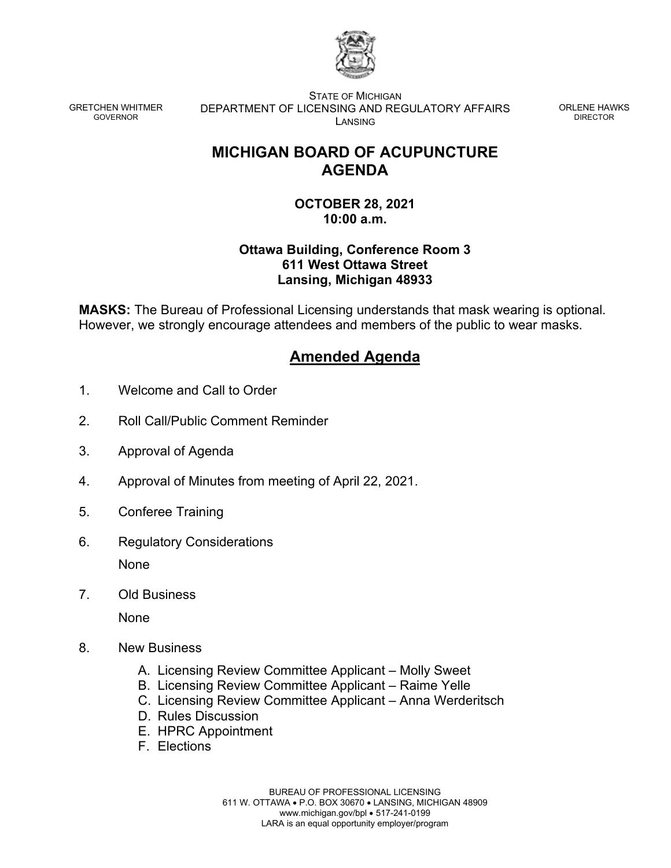

GRETCHEN WHITMER GOVERNOR

STATE OF MICHIGAN DEPARTMENT OF LICENSING AND REGULATORY AFFAIRS LANSING

ORLENE HAWKS DIRECTOR

## **MICHIGAN BOARD OF ACUPUNCTURE AGENDA**

**OCTOBER 28, 2021 10:00 a.m.**

## **Ottawa Building, Conference Room 3 611 West Ottawa Street Lansing, Michigan 48933**

**MASKS:** The Bureau of Professional Licensing understands that mask wearing is optional. However, we strongly encourage attendees and members of the public to wear masks.

## **Amended Agenda**

- 1. Welcome and Call to Order
- 2. Roll Call/Public Comment Reminder
- 3. Approval of Agenda
- 4. Approval of Minutes from meeting of April 22, 2021.
- 5. Conferee Training
- 6. Regulatory Considerations None
- 7. Old Business

None

- 8. New Business
	- A. Licensing Review Committee Applicant Molly Sweet
	- B. Licensing Review Committee Applicant Raime Yelle
	- C. Licensing Review Committee Applicant Anna Werderitsch
	- D. Rules Discussion
	- E. HPRC Appointment
	- F. Elections

BUREAU OF PROFESSIONAL LICENSING 611 W. OTTAWA • P.O. BOX 30670 • LANSING, MICHIGAN 48909 www.michigan.gov/bpl • 517-241-0199 LARA is an equal opportunity employer/program